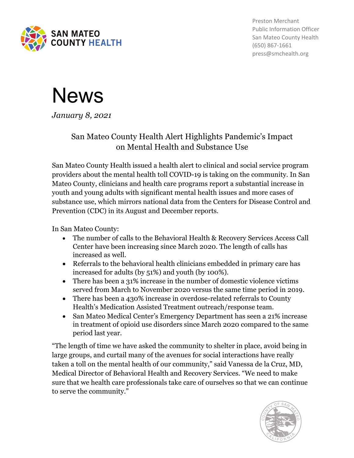

Preston Merchant Public Information Officer San Mateo County Health (650) 867-1661 press@smchealth.org



*January 8, 2021*

## San Mateo County Health Alert Highlights Pandemic's Impact on Mental Health and Substance Use

San Mateo County Health issued a health alert to clinical and social service program providers about the mental health toll COVID-19 is taking on the community. In San Mateo County, clinicians and health care programs report a substantial increase in youth and young adults with significant mental health issues and more cases of substance use, which mirrors national data from the Centers for Disease Control and Prevention (CDC) in its August and December reports.

In San Mateo County:

- The number of calls to the Behavioral Health & Recovery Services Access Call Center have been increasing since March 2020. The length of calls has increased as well.
- Referrals to the behavioral health clinicians embedded in primary care has increased for adults (by 51%) and youth (by 100%).
- There has been a 31% increase in the number of domestic violence victims served from March to November 2020 versus the same time period in 2019.
- There has been a 430% increase in overdose-related referrals to County Health's Medication Assisted Treatment outreach/response team.
- San Mateo Medical Center's Emergency Department has seen a 21% increase in treatment of opioid use disorders since March 2020 compared to the same period last year.

"The length of time we have asked the community to shelter in place, avoid being in large groups, and curtail many of the avenues for social interactions have really taken a toll on the mental health of our community," said Vanessa de la Cruz, MD, Medical Director of Behavioral Health and Recovery Services. "We need to make sure that we health care professionals take care of ourselves so that we can continue to serve the community."